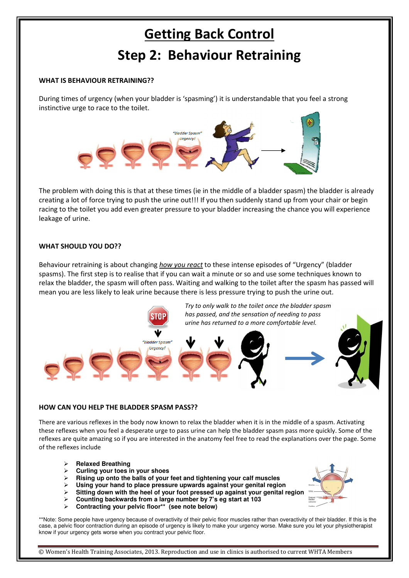# Getting Back Control Step 2: Behaviour Retraining

#### WHAT IS BEHAVIOUR RETRAINING??

During times of urgency (when your bladder is 'spasming') it is understandable that you feel a strong instinctive urge to race to the toilet.



The problem with doing this is that at these times (ie in the middle of a bladder spasm) the bladder is already creating a lot of force trying to push the urine out!!! If you then suddenly stand up from your chair or begin racing to the toilet you add even greater pressure to your bladder increasing the chance you will experience leakage of urine.

#### WHAT SHOULD YOU DO??

Behaviour retraining is about changing how you react to these intense episodes of "Urgency" (bladder spasms). The first step is to realise that if you can wait a minute or so and use some techniques known to relax the bladder, the spasm will often pass. Waiting and walking to the toilet after the spasm has passed will mean you are less likely to leak urine because there is less pressure trying to push the urine out.



## HOW CAN YOU HELP THE BLADDER SPASM PASS??

There are various reflexes in the body now known to relax the bladder when it is in the middle of a spasm. Activating these reflexes when you feel a desperate urge to pass urine can help the bladder spasm pass more quickly. Some of the reflexes are quite amazing so if you are interested in the anatomy feel free to read the explanations over the page. Some of the reflexes include

- **Relaxed Breathing**
- **Curling your toes in your shoes**
- **Rising up onto the balls of your feet and tightening your calf muscles**
- **Using your hand to place pressure upwards against your genital region**
- **Sitting down with the heel of your foot pressed up against your genital region**
- **Counting backwards from a large number by 7's eg start at 103**
- **Contracting your pelvic floor\*\* (see note below)**

\*\*Note: Some people have urgency because of overactivity of their pelvic floor muscles rather than overactivity of their bladder. If this is the case, a pelvic floor contraction during an episode of urgency is likely to make your urgency worse. Make sure you let your physiotherapist know if your urgency gets worse when you contract your pelvic floor.

© Women's Health Training Associates, 2013. Reproduction and use in clinics is authorised to current WHTA Members